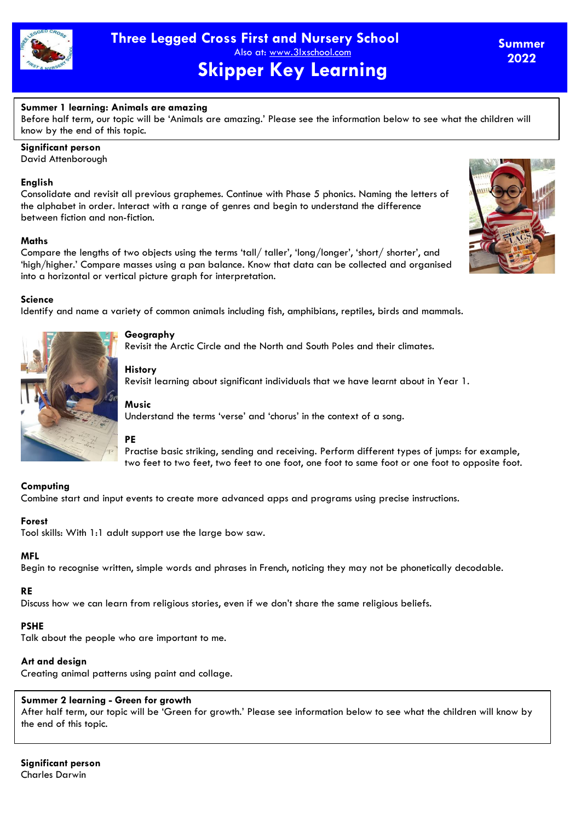

# **Summer 1 learning: Animals are amazing**

Before half term, our topic will be 'Animals are amazing.' Please see the information below to see what the children will know by the end of this topic.

**Significant person**

David Attenborough

### **English**

Consolidate and revisit all previous graphemes. Continue with Phase 5 phonics. Naming the letters of the alphabet in order. Interact with a range of genres and begin to understand the difference between fiction and non-fiction.

### **Maths**

Compare the lengths of two objects using the terms 'tall/ taller', 'long/longer', 'short/ shorter', and 'high/higher.' Compare masses using a pan balance. Know that data can be collected and organised into a horizontal or vertical picture graph for interpretation.

### **Science**

Identify and name a variety of common animals including fish, amphibians, reptiles, birds and mammals.



# **Geography**

Revisit the Arctic Circle and the North and South Poles and their climates.

# **History**

Revisit learning about significant individuals that we have learnt about in Year 1.

# **Music**

Understand the terms 'verse' and 'chorus' in the context of a song.

# **PE**

Practise basic striking, sending and receiving. Perform different types of jumps: for example, two feet to two feet, two feet to one foot, one foot to same foot or one foot to opposite foot.

# **Computing**

Combine start and input events to create more advanced apps and programs using precise instructions.

# **Forest**

Tool skills: With 1:1 adult support use the large bow saw.

# **MFL**

Begin to recognise written, simple words and phrases in French, noticing they may not be phonetically decodable.

# **RE**

Discuss how we can learn from religious stories, even if we don't share the same religious beliefs.

# **PSHE**

Talk about the people who are important to me.

# **Art and design**

Creating animal patterns using paint and collage.

# **Summer 2 learning - Green for growth**

After half term, our topic will be 'Green for growth.' Please see information below to see what the children will know by the end of this topic.

**Significant person** Charles Darwin



**Summer 2022**